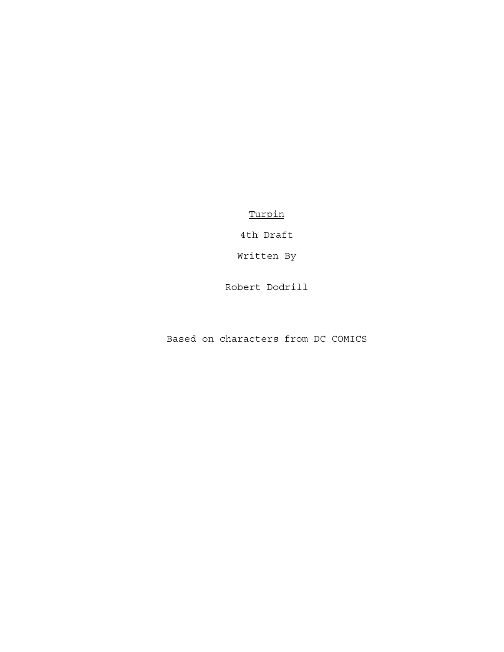# Turpin

4th Draft

Written By

Robert Dodrill

Based on characters from DC COMICS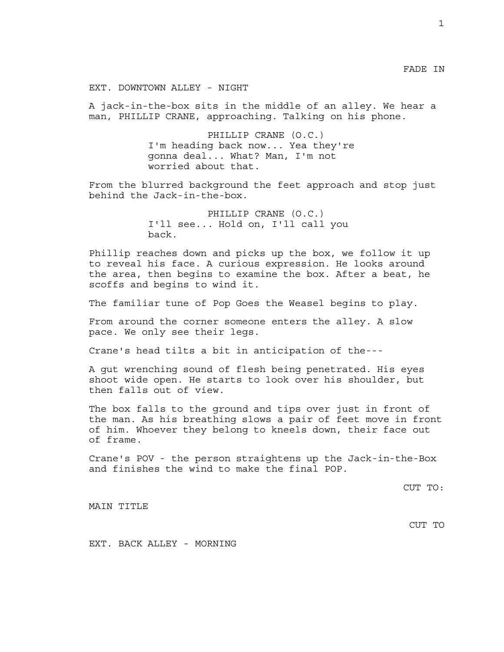FADE IN

EXT. DOWNTOWN ALLEY - NIGHT

A jack-in-the-box sits in the middle of an alley. We hear a man, PHILLIP CRANE, approaching. Talking on his phone.

> PHILLIP CRANE (O.C.) I'm heading back now... Yea they're gonna deal... What? Man, I'm not worried about that.

From the blurred background the feet approach and stop just behind the Jack-in-the-box.

> PHILLIP CRANE (O.C.) I'll see... Hold on, I'll call you back.

Phillip reaches down and picks up the box, we follow it up to reveal his face. A curious expression. He looks around the area, then begins to examine the box. After a beat, he scoffs and begins to wind it.

The familiar tune of Pop Goes the Weasel begins to play.

From around the corner someone enters the alley. A slow pace. We only see their legs.

Crane's head tilts a bit in anticipation of the---

A gut wrenching sound of flesh being penetrated. His eyes shoot wide open. He starts to look over his shoulder, but then falls out of view.

The box falls to the ground and tips over just in front of the man. As his breathing slows a pair of feet move in front of him. Whoever they belong to kneels down, their face out of frame.

Crane's POV - the person straightens up the Jack-in-the-Box and finishes the wind to make the final POP.

CUT TO:

MAIN TITLE

CUT TO

EXT. BACK ALLEY - MORNING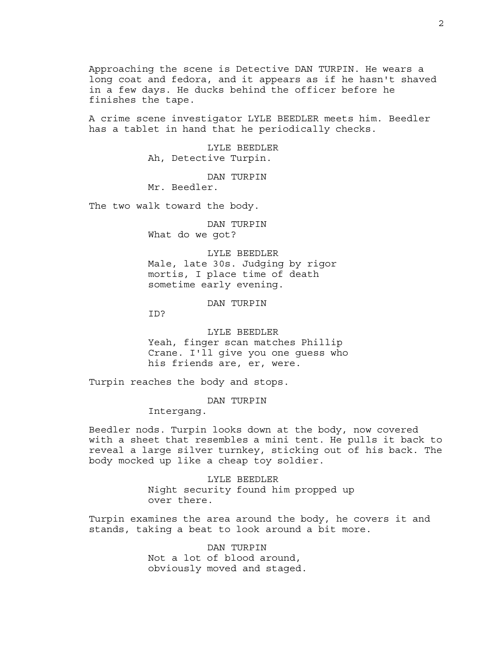Approaching the scene is Detective DAN TURPIN. He wears a long coat and fedora, and it appears as if he hasn't shaved in a few days. He ducks behind the officer before he finishes the tape.

A crime scene investigator LYLE BEEDLER meets him. Beedler has a tablet in hand that he periodically checks.

> LYLE BEEDLER Ah, Detective Turpin.

> > DAN TURPIN

Mr. Beedler.

The two walk toward the body.

DAN TURPIN What do we got?

LYLE BEEDLER Male, late 30s. Judging by rigor mortis, I place time of death sometime early evening.

DAN TURPIN

ID?

LYLE BEEDLER Yeah, finger scan matches Phillip Crane. I'll give you one guess who his friends are, er, were.

Turpin reaches the body and stops.

DAN TURPIN

Intergang.

Beedler nods. Turpin looks down at the body, now covered with a sheet that resembles a mini tent. He pulls it back to reveal a large silver turnkey, sticking out of his back. The body mocked up like a cheap toy soldier.

> LYLE BEEDLER Night security found him propped up over there.

Turpin examines the area around the body, he covers it and stands, taking a beat to look around a bit more.

> DAN TURPIN Not a lot of blood around, obviously moved and staged.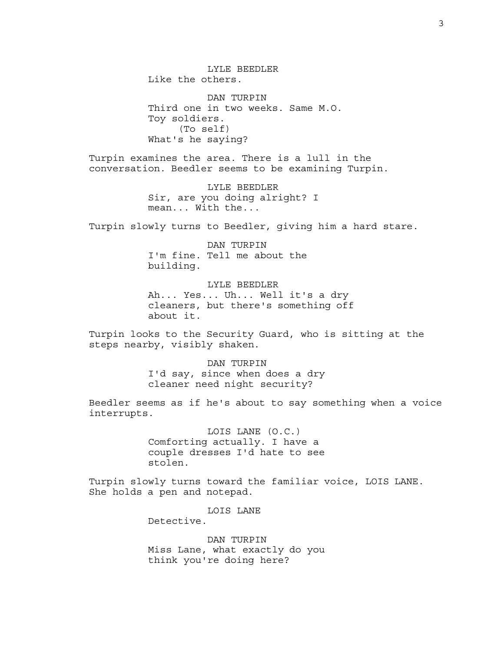LYLE BEEDLER Like the others.

DAN TURPIN Third one in two weeks. Same M.O. Toy soldiers. (To self) What's he saying?

Turpin examines the area. There is a lull in the conversation. Beedler seems to be examining Turpin.

> LYLE BEEDLER Sir, are you doing alright? I mean... With the...

Turpin slowly turns to Beedler, giving him a hard stare.

DAN TURPIN I'm fine. Tell me about the building.

LYLE BEEDLER

Ah... Yes... Uh... Well it's a dry cleaners, but there's something off about it.

Turpin looks to the Security Guard, who is sitting at the steps nearby, visibly shaken.

> DAN TURPIN I'd say, since when does a dry cleaner need night security?

Beedler seems as if he's about to say something when a voice interrupts.

> LOIS LANE (O.C.) Comforting actually. I have a couple dresses I'd hate to see stolen.

Turpin slowly turns toward the familiar voice, LOIS LANE. She holds a pen and notepad.

> LOIS LANE Detective.

DAN TURPIN Miss Lane, what exactly do you think you're doing here?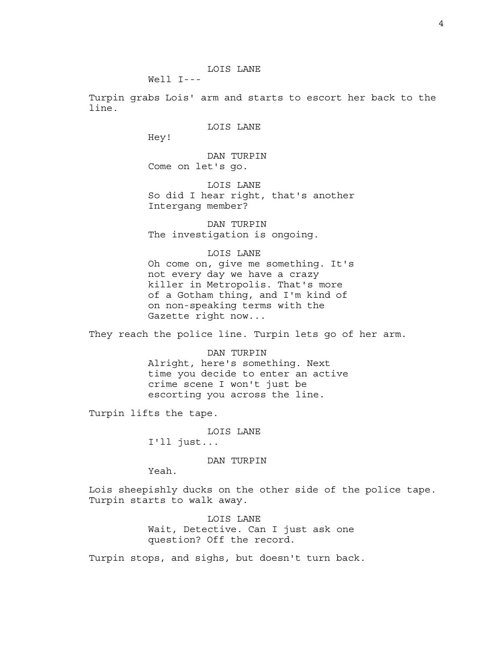Well I---

Turpin grabs Lois' arm and starts to escort her back to the line.

### LOIS LANE

Hey!

DAN TURPIN Come on let's go.

LOIS LANE So did I hear right, that's another Intergang member?

DAN TURPIN The investigation is ongoing.

# LOIS LANE

Oh come on, give me something. It's not every day we have a crazy killer in Metropolis. That's more of a Gotham thing, and I'm kind of on non-speaking terms with the Gazette right now...

They reach the police line. Turpin lets go of her arm.

### DAN TURPIN

Alright, here's something. Next time you decide to enter an active crime scene I won't just be escorting you across the line.

Turpin lifts the tape.

#### LOIS LANE

I'll just...

DAN TURPIN

Yeah.

Lois sheepishly ducks on the other side of the police tape. Turpin starts to walk away.

> LOIS LANE Wait, Detective. Can I just ask one question? Off the record.

Turpin stops, and sighs, but doesn't turn back.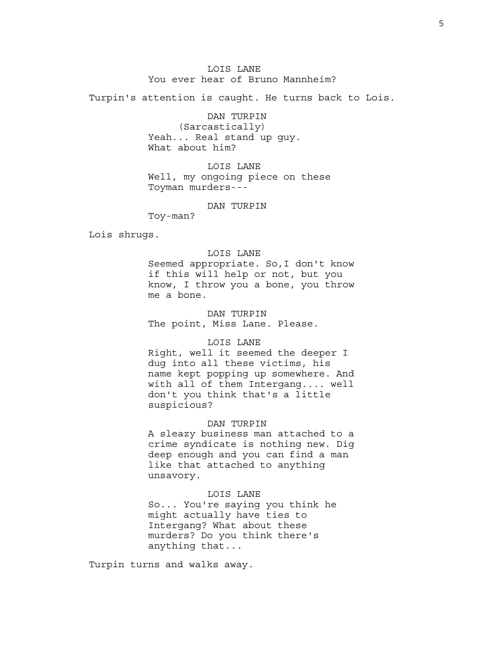# LOIS LANE You ever hear of Bruno Mannheim?

Turpin's attention is caught. He turns back to Lois.

DAN TURPIN

(Sarcastically) Yeah... Real stand up guy. What about him?

LOIS LANE Well, my ongoing piece on these Toyman murders---

DAN TURPIN

Toy-man?

Lois shrugs.

### LOIS LANE

Seemed appropriate. So,I don't know if this will help or not, but you know, I throw you a bone, you throw me a bone.

### DAN TURPIN

The point, Miss Lane. Please.

#### LOIS LANE

Right, well it seemed the deeper I dug into all these victims, his name kept popping up somewhere. And with all of them Intergang.... well don't you think that's a little suspicious?

### DAN TURPIN

A sleazy business man attached to a crime syndicate is nothing new. Dig deep enough and you can find a man like that attached to anything unsavory.

# LOIS LANE

So... You're saying you think he might actually have ties to Intergang? What about these murders? Do you think there's anything that...

Turpin turns and walks away.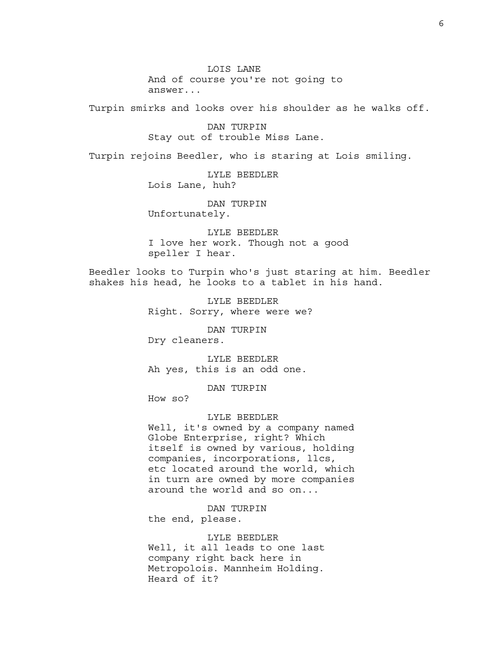LOIS LANE And of course you're not going to answer...

Turpin smirks and looks over his shoulder as he walks off.

DAN TURPIN Stay out of trouble Miss Lane.

Turpin rejoins Beedler, who is staring at Lois smiling.

LYLE BEEDLER Lois Lane, huh?

DAN TURPIN Unfortunately.

LYLE BEEDLER I love her work. Though not a good speller I hear.

Beedler looks to Turpin who's just staring at him. Beedler shakes his head, he looks to a tablet in his hand.

> LYLE BEEDLER Right. Sorry, where were we?

DAN TURPIN Dry cleaners.

LYLE BEEDLER Ah yes, this is an odd one.

DAN TURPIN

How so?

### LYLE BEEDLER

Well, it's owned by a company named Globe Enterprise, right? Which itself is owned by various, holding companies, incorporations, llcs, etc located around the world, which in turn are owned by more companies around the world and so on...

DAN TURPIN the end, please.

LYLE BEEDLER Well, it all leads to one last company right back here in Metropolois. Mannheim Holding. Heard of it?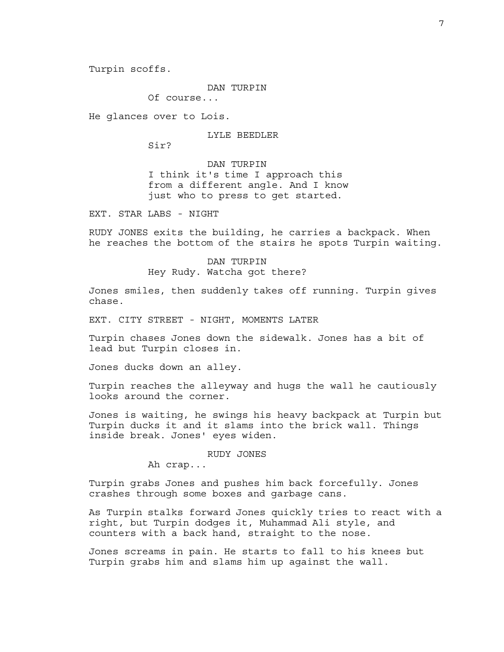Turpin scoffs.

DAN TURPIN

Of course...

He glances over to Lois.

LYLE BEEDLER

Sir?

DAN TURPIN I think it's time I approach this from a different angle. And I know just who to press to get started.

EXT. STAR LABS - NIGHT

RUDY JONES exits the building, he carries a backpack. When he reaches the bottom of the stairs he spots Turpin waiting.

> DAN TURPIN Hey Rudy. Watcha got there?

Jones smiles, then suddenly takes off running. Turpin gives chase.

EXT. CITY STREET - NIGHT, MOMENTS LATER

Turpin chases Jones down the sidewalk. Jones has a bit of lead but Turpin closes in.

Jones ducks down an alley.

Turpin reaches the alleyway and hugs the wall he cautiously looks around the corner.

Jones is waiting, he swings his heavy backpack at Turpin but Turpin ducks it and it slams into the brick wall. Things inside break. Jones' eyes widen.

RUDY JONES

Ah crap...

Turpin grabs Jones and pushes him back forcefully. Jones crashes through some boxes and garbage cans.

As Turpin stalks forward Jones quickly tries to react with a right, but Turpin dodges it, Muhammad Ali style, and counters with a back hand, straight to the nose.

Jones screams in pain. He starts to fall to his knees but Turpin grabs him and slams him up against the wall.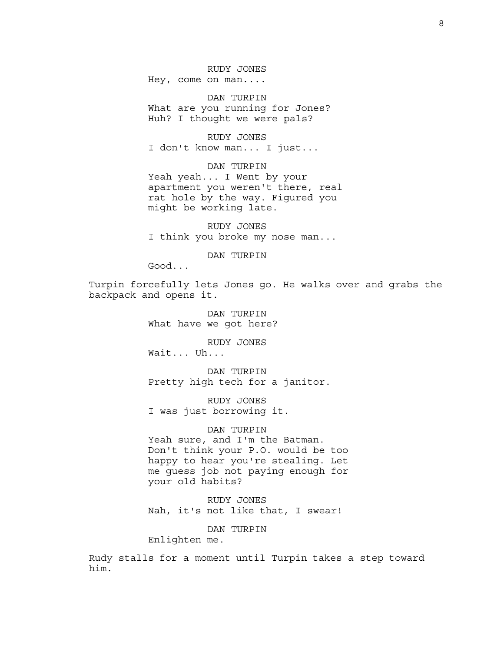RUDY JONES

Hey, come on man....

DAN TURPIN What are you running for Jones? Huh? I thought we were pals?

RUDY JONES I don't know man... I just...

DAN TURPIN Yeah yeah... I Went by your apartment you weren't there, real rat hole by the way. Figured you might be working late.

RUDY JONES I think you broke my nose man...

DAN TURPIN

Good...

Turpin forcefully lets Jones go. He walks over and grabs the backpack and opens it.

> DAN TURPIN What have we got here?

RUDY JONES Wait... Uh...

DAN TURPIN Pretty high tech for a janitor.

RUDY JONES I was just borrowing it.

DAN TURPIN Yeah sure, and I'm the Batman. Don't think your P.O. would be too happy to hear you're stealing. Let me guess job not paying enough for your old habits?

RUDY JONES Nah, it's not like that, I swear!

DAN TURPIN

Enlighten me.

Rudy stalls for a moment until Turpin takes a step toward him.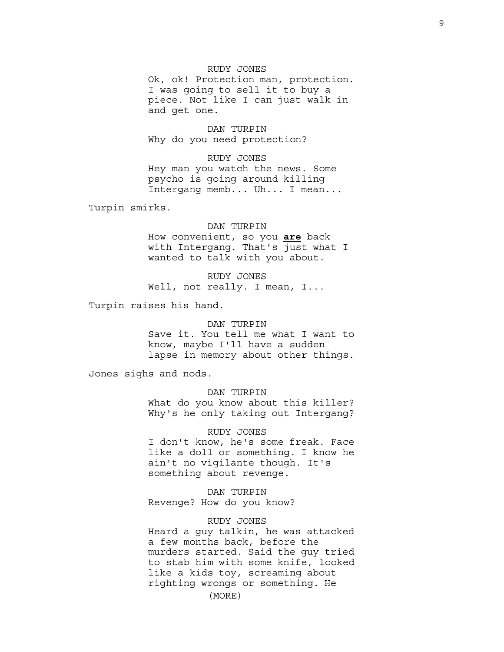### RUDY JONES

Ok, ok! Protection man, protection. I was going to sell it to buy a piece. Not like I can just walk in and get one.

DAN TURPIN Why do you need protection?

# RUDY JONES

Hey man you watch the news. Some psycho is going around killing Intergang memb... Uh... I mean...

Turpin smirks.

#### DAN TURPIN

How convenient, so you **are** back with Intergang. That's just what I wanted to talk with you about.

RUDY JONES Well, not really. I mean, I...

Turpin raises his hand.

### DAN TURPIN

Save it. You tell me what I want to know, maybe I'll have a sudden lapse in memory about other things.

Jones sighs and nods.

### DAN TURPIN

What do you know about this killer? Why's he only taking out Intergang?

### RUDY JONES

I don't know, he's some freak. Face like a doll or something. I know he ain't no vigilante though. It's something about revenge.

DAN TURPIN Revenge? How do you know?

# RUDY JONES

Heard a guy talkin, he was attacked a few months back, before the murders started. Said the guy tried to stab him with some knife, looked like a kids toy, screaming about righting wrongs or something. He (MORE)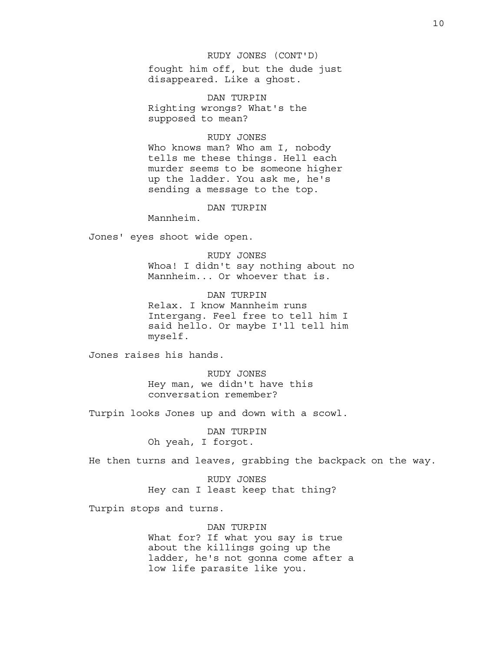### RUDY JONES (CONT'D)

fought him off, but the dude just disappeared. Like a ghost.

DAN TURPIN Righting wrongs? What's the supposed to mean?

#### RUDY JONES

Who knows man? Who am I, nobody tells me these things. Hell each murder seems to be someone higher up the ladder. You ask me, he's sending a message to the top.

### DAN TURPIN

Mannheim.

Jones' eyes shoot wide open.

RUDY JONES Whoa! I didn't say nothing about no Mannheim... Or whoever that is.

DAN TURPIN Relax. I know Mannheim runs Intergang. Feel free to tell him I said hello. Or maybe I'll tell him myself.

Jones raises his hands.

RUDY JONES Hey man, we didn't have this conversation remember?

Turpin looks Jones up and down with a scowl.

DAN TURPIN Oh yeah, I forgot.

He then turns and leaves, grabbing the backpack on the way.

RUDY JONES Hey can I least keep that thing?

Turpin stops and turns.

DAN TURPIN What for? If what you say is true about the killings going up the ladder, he's not gonna come after a low life parasite like you.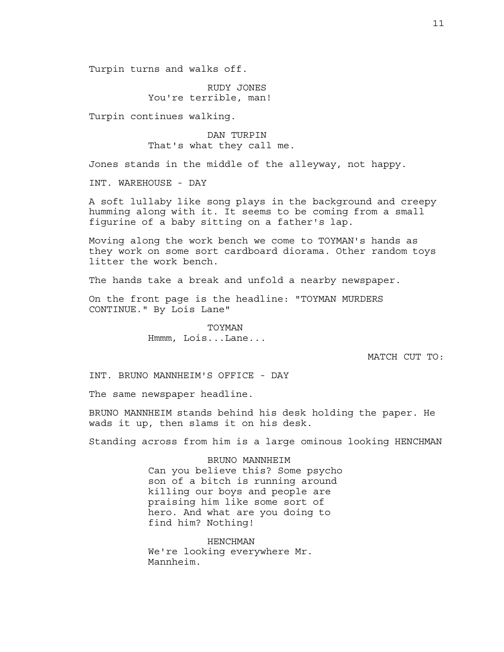Turpin turns and walks off.

RUDY JONES You're terrible, man!

Turpin continues walking.

DAN TURPIN That's what they call me.

Jones stands in the middle of the alleyway, not happy.

INT. WAREHOUSE - DAY

A soft lullaby like song plays in the background and creepy humming along with it. It seems to be coming from a small figurine of a baby sitting on a father's lap.

Moving along the work bench we come to TOYMAN's hands as they work on some sort cardboard diorama. Other random toys litter the work bench.

The hands take a break and unfold a nearby newspaper.

On the front page is the headline: "TOYMAN MURDERS CONTINUE." By Lois Lane"

> TOYMAN Hmmm, Lois...Lane...

> > MATCH CUT TO:

INT. BRUNO MANNHEIM'S OFFICE - DAY

The same newspaper headline.

BRUNO MANNHEIM stands behind his desk holding the paper. He wads it up, then slams it on his desk.

Standing across from him is a large ominous looking HENCHMAN

BRUNO MANNHEIM Can you believe this? Some psycho son of a bitch is running around killing our boys and people are praising him like some sort of hero. And what are you doing to find him? Nothing!

HENCHMAN We're looking everywhere Mr. Mannheim.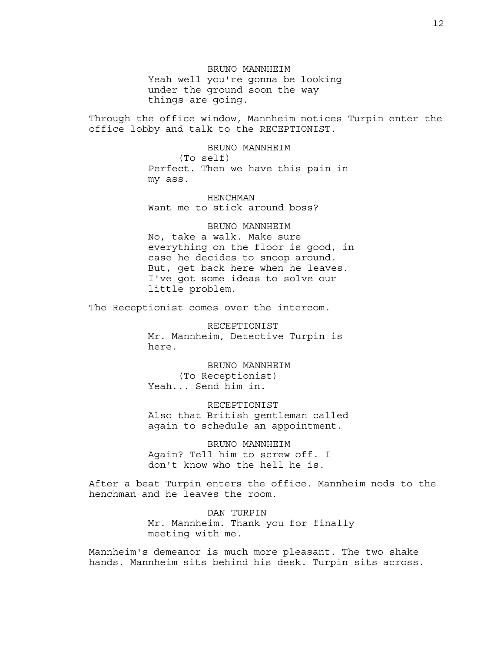BRUNO MANNHEIM Yeah well you're gonna be looking under the ground soon the way things are going.

Through the office window, Mannheim notices Turpin enter the office lobby and talk to the RECEPTIONIST.

> BRUNO MANNHEIM (To self) Perfect. Then we have this pain in my ass.

HENCHMAN Want me to stick around boss?

BRUNO MANNHEIM No, take a walk. Make sure everything on the floor is good, in case he decides to snoop around. But, get back here when he leaves. I've got some ideas to solve our little problem.

The Receptionist comes over the intercom.

RECEPTIONIST Mr. Mannheim, Detective Turpin is here.

BRUNO MANNHEIM (To Receptionist) Yeah... Send him in.

RECEPTIONIST Also that British gentleman called again to schedule an appointment.

BRUNO MANNHEIM Again? Tell him to screw off. I don't know who the hell he is.

After a beat Turpin enters the office. Mannheim nods to the henchman and he leaves the room.

> DAN TURPIN Mr. Mannheim. Thank you for finally meeting with me.

Mannheim's demeanor is much more pleasant. The two shake hands. Mannheim sits behind his desk. Turpin sits across.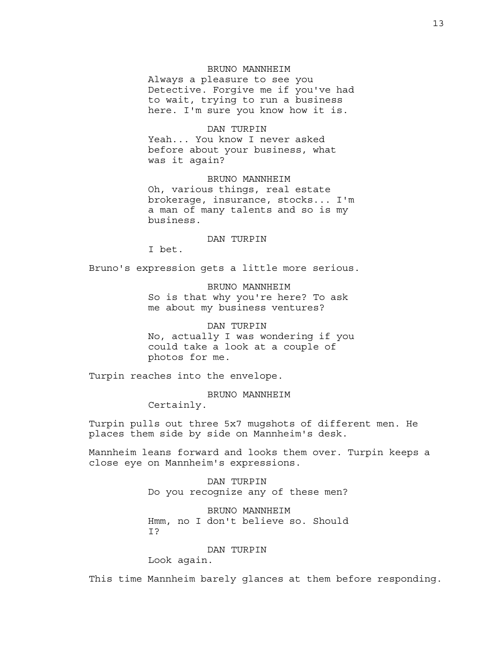### BRUNO MANNHEIM

Always a pleasure to see you Detective. Forgive me if you've had to wait, trying to run a business here. I'm sure you know how it is.

# DAN TURPIN

Yeah... You know I never asked before about your business, what was it again?

BRUNO MANNHEIM Oh, various things, real estate brokerage, insurance, stocks... I'm a man of many talents and so is my business.

#### DAN TURPIN

I bet.

Bruno's expression gets a little more serious.

BRUNO MANNHEIM So is that why you're here? To ask me about my business ventures?

### DAN TURPIN

No, actually I was wondering if you could take a look at a couple of photos for me.

Turpin reaches into the envelope.

BRUNO MANNHEIM

Certainly.

Turpin pulls out three 5x7 mugshots of different men. He places them side by side on Mannheim's desk.

Mannheim leans forward and looks them over. Turpin keeps a close eye on Mannheim's expressions.

> DAN TURPIN Do you recognize any of these men?

> BRUNO MANNHEIM Hmm, no I don't believe so. Should I?

### DAN TURPIN

Look again.

This time Mannheim barely glances at them before responding.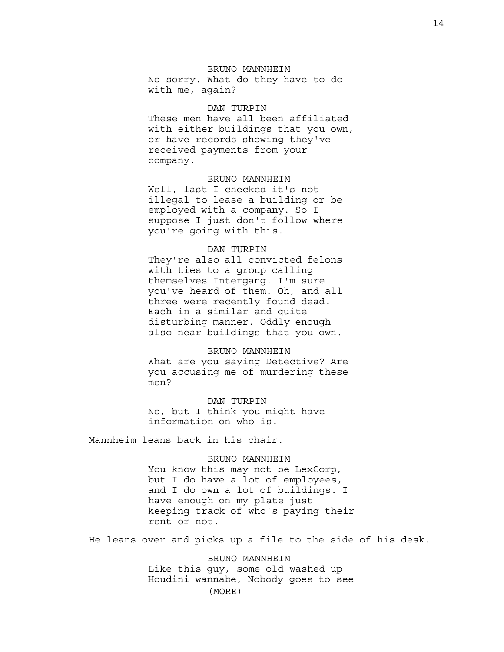### BRUNO MANNHEIM

No sorry. What do they have to do with me, again?

## DAN TURPIN

These men have all been affiliated with either buildings that you own, or have records showing they've received payments from your company.

### BRUNO MANNHEIM

Well, last I checked it's not illegal to lease a building or be employed with a company. So I suppose I just don't follow where you're going with this.

#### DAN TURPIN

They're also all convicted felons with ties to a group calling themselves Intergang. I'm sure you've heard of them. Oh, and all three were recently found dead. Each in a similar and quite disturbing manner. Oddly enough also near buildings that you own.

#### BRUNO MANNHEIM

What are you saying Detective? Are you accusing me of murdering these men?

DAN TURPIN No, but I think you might have information on who is.

Mannheim leans back in his chair.

#### BRUNO MANNHEIM

You know this may not be LexCorp, but I do have a lot of employees, and I do own a lot of buildings. I have enough on my plate just keeping track of who's paying their rent or not.

He leans over and picks up a file to the side of his desk.

BRUNO MANNHEIM Like this guy, some old washed up Houdini wannabe, Nobody goes to see (MORE)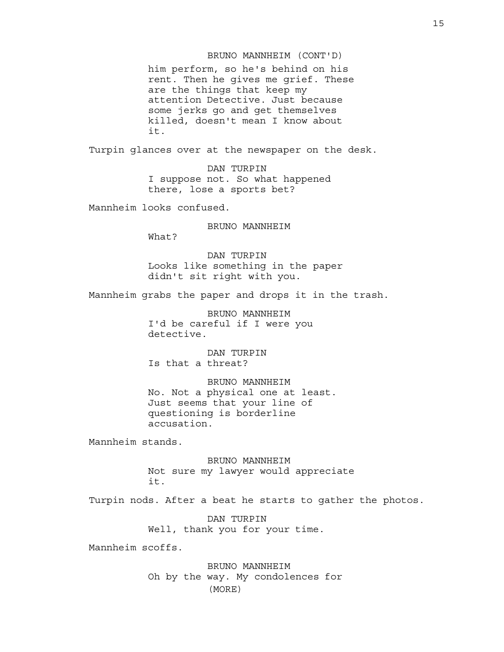### BRUNO MANNHEIM (CONT'D)

him perform, so he's behind on his rent. Then he gives me grief. These are the things that keep my attention Detective. Just because some jerks go and get themselves killed, doesn't mean I know about it.

Turpin glances over at the newspaper on the desk.

DAN TURPIN I suppose not. So what happened there, lose a sports bet?

Mannheim looks confused.

# BRUNO MANNHEIM

What?

DAN TURPIN Looks like something in the paper didn't sit right with you.

Mannheim grabs the paper and drops it in the trash.

BRUNO MANNHEIM I'd be careful if I were you detective.

DAN TURPIN Is that a threat?

BRUNO MANNHEIM No. Not a physical one at least. Just seems that your line of questioning is borderline accusation.

Mannheim stands.

BRUNO MANNHEIM Not sure my lawyer would appreciate it.

Turpin nods. After a beat he starts to gather the photos.

DAN TURPIN Well, thank you for your time.

Mannheim scoffs.

BRUNO MANNHEIM Oh by the way. My condolences for (MORE)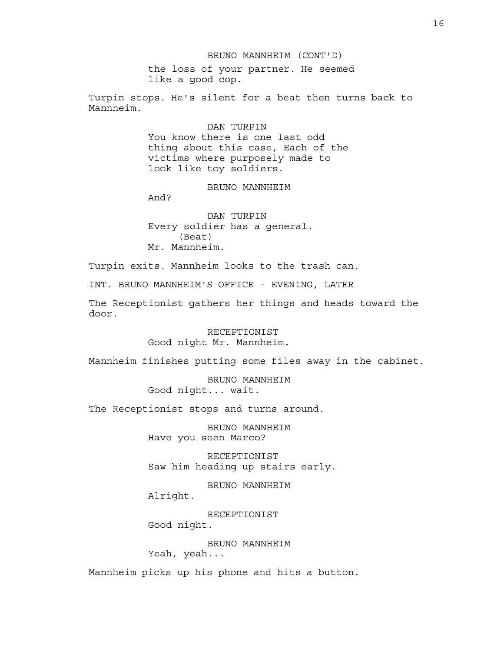the loss of your partner. He seemed BRUNO MANNHEIM (CONT'D) like a good cop.

Turpin stops. He's silent for a beat then turns back to Mannheim.

### DAN TURPIN

You know there is one last odd thing about this case, Each of the victims where purposely made to look like toy soldiers.

### BRUNO MANNHEIM

And?

DAN TURPIN Every soldier has a general. (Beat) Mr. Mannheim.

Turpin exits. Mannheim looks to the trash can.

INT. BRUNO MANNHEIM'S OFFICE - EVENING, LATER

The Receptionist gathers her things and heads toward the door.

> RECEPTIONIST Good night Mr. Mannheim.

Mannheim finishes putting some files away in the cabinet.

BRUNO MANNHEIM Good night... wait.

The Receptionist stops and turns around.

BRUNO MANNHEIM Have you seen Marco?

RECEPTIONIST Saw him heading up stairs early.

BRUNO MANNHEIM Alright.

RECEPTIONIST Good night.

BRUNO MANNHEIM Yeah, yeah...

Mannheim picks up his phone and hits a button.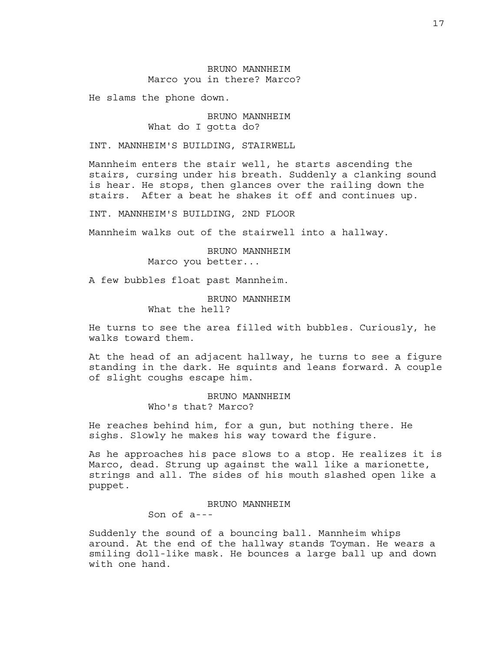### BRUNO MANNHEIM Marco you in there? Marco?

He slams the phone down.

# BRUNO MANNHEIM What do I gotta do?

INT. MANNHEIM'S BUILDING, STAIRWELL

Mannheim enters the stair well, he starts ascending the stairs, cursing under his breath. Suddenly a clanking sound is hear. He stops, then glances over the railing down the stairs. After a beat he shakes it off and continues up.

INT. MANNHEIM'S BUILDING, 2ND FLOOR

Mannheim walks out of the stairwell into a hallway.

BRUNO MANNHEIM Marco you better...

A few bubbles float past Mannheim.

BRUNO MANNHEIM

What the hell?

He turns to see the area filled with bubbles. Curiously, he walks toward them.

At the head of an adjacent hallway, he turns to see a figure standing in the dark. He squints and leans forward. A couple of slight coughs escape him.

> BRUNO MANNHEIM Who's that? Marco?

He reaches behind him, for a gun, but nothing there. He sighs. Slowly he makes his way toward the figure.

As he approaches his pace slows to a stop. He realizes it is Marco, dead. Strung up against the wall like a marionette, strings and all. The sides of his mouth slashed open like a puppet.

BRUNO MANNHEIM

Son of a---

Suddenly the sound of a bouncing ball. Mannheim whips around. At the end of the hallway stands Toyman. He wears a smiling doll-like mask. He bounces a large ball up and down with one hand.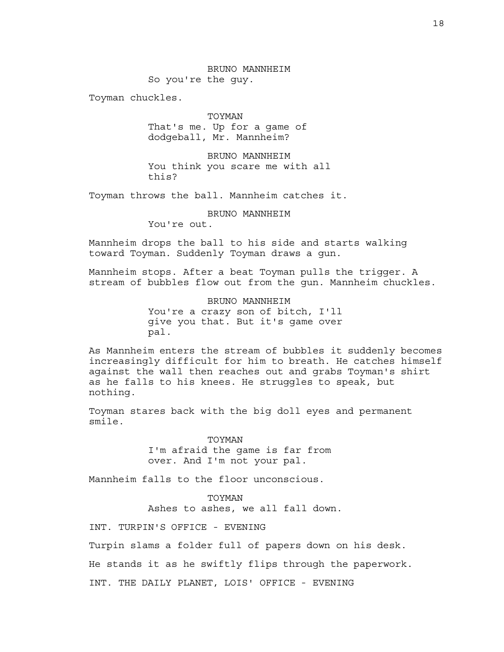Toyman chuckles.

TOYMAN That's me. Up for a game of dodgeball, Mr. Mannheim?

BRUNO MANNHEIM You think you scare me with all this?

Toyman throws the ball. Mannheim catches it.

BRUNO MANNHEIM

You're out.

Mannheim drops the ball to his side and starts walking toward Toyman. Suddenly Toyman draws a gun.

Mannheim stops. After a beat Toyman pulls the trigger. A stream of bubbles flow out from the gun. Mannheim chuckles.

> BRUNO MANNHEIM You're a crazy son of bitch, I'll give you that. But it's game over pal.

As Mannheim enters the stream of bubbles it suddenly becomes increasingly difficult for him to breath. He catches himself against the wall then reaches out and grabs Toyman's shirt as he falls to his knees. He struggles to speak, but nothing.

Toyman stares back with the big doll eyes and permanent smile.

> TOYMAN I'm afraid the game is far from over. And I'm not your pal.

Mannheim falls to the floor unconscious.

TOYMAN

Ashes to ashes, we all fall down.

INT. TURPIN'S OFFICE - EVENING

Turpin slams a folder full of papers down on his desk.

He stands it as he swiftly flips through the paperwork.

INT. THE DAILY PLANET, LOIS' OFFICE - EVENING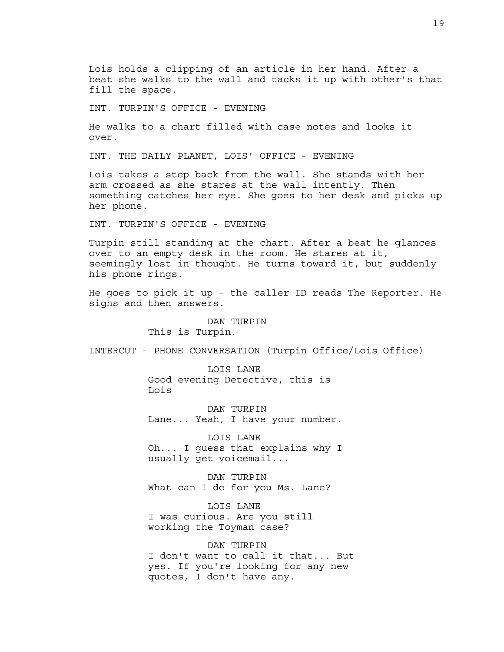Lois holds a clipping of an article in her hand. After a beat she walks to the wall and tacks it up with other's that fill the space.

INT. TURPIN'S OFFICE - EVENING

He walks to a chart filled with case notes and looks it over.

INT. THE DAILY PLANET, LOIS' OFFICE - EVENING

Lois takes a step back from the wall. She stands with her arm crossed as she stares at the wall intently. Then something catches her eye. She goes to her desk and picks up her phone.

INT. TURPIN'S OFFICE - EVENING

Turpin still standing at the chart. After a beat he glances over to an empty desk in the room. He stares at it, seemingly lost in thought. He turns toward it, but suddenly his phone rings.

He goes to pick it up - the caller ID reads The Reporter. He sighs and then answers.

> DAN TURPIN This is Turpin.

INTERCUT - PHONE CONVERSATION (Turpin Office/Lois Office)

LOIS LANE Good evening Detective, this is Lois

DAN TURPIN Lane... Yeah, I have your number.

LOIS LANE Oh... I guess that explains why I usually get voicemail...

DAN TURPIN What can I do for you Ms. Lane?

LOIS LANE I was curious. Are you still working the Toyman case?

DAN TURPIN

I don't want to call it that... But yes. If you're looking for any new quotes, I don't have any.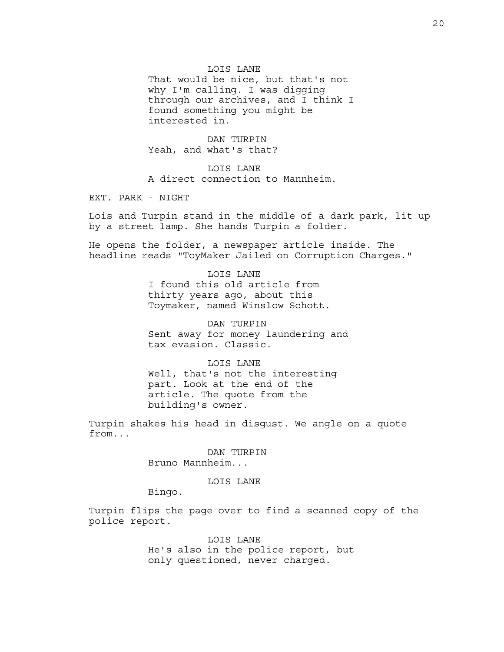### LOIS LANE

That would be nice, but that's not why I'm calling. I was digging through our archives, and I think I found something you might be interested in.

DAN TURPIN Yeah, and what's that?

LOIS LANE A direct connection to Mannheim.

EXT. PARK - NIGHT

Lois and Turpin stand in the middle of a dark park, lit up by a street lamp. She hands Turpin a folder.

He opens the folder, a newspaper article inside. The headline reads "ToyMaker Jailed on Corruption Charges."

### LOIS LANE

I found this old article from thirty years ago, about this Toymaker, named Winslow Schott.

DAN TURPIN Sent away for money laundering and tax evasion. Classic.

### LOIS LANE

Well, that's not the interesting part. Look at the end of the article. The quote from the building's owner.

Turpin shakes his head in disgust. We angle on a quote from...

# DAN TURPIN

Bruno Mannheim...

### LOIS LANE

Bingo.

Turpin flips the page over to find a scanned copy of the police report.

> LOIS LANE He's also in the police report, but only questioned, never charged.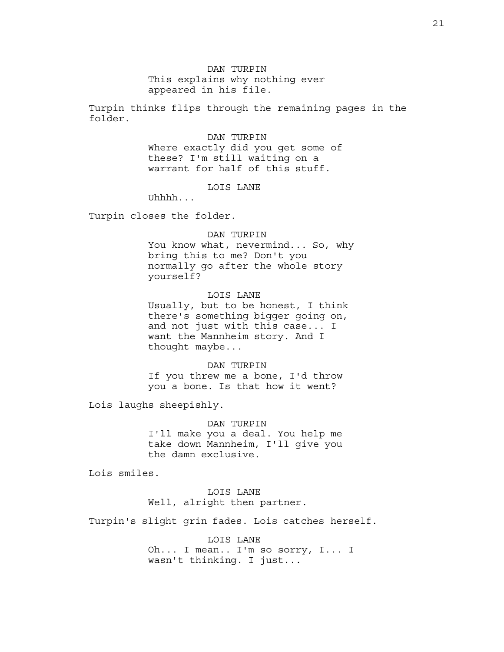DAN TURPIN This explains why nothing ever appeared in his file.

Turpin thinks flips through the remaining pages in the folder.

> DAN TURPIN Where exactly did you get some of these? I'm still waiting on a warrant for half of this stuff.

### LOIS LANE

Uhhhh...

Turpin closes the folder.

### DAN TURPIN

You know what, nevermind... So, why bring this to me? Don't you normally go after the whole story yourself?

### LOIS LANE

Usually, but to be honest, I think there's something bigger going on, and not just with this case... I want the Mannheim story. And I thought maybe...

### DAN TURPIN

If you threw me a bone, I'd throw you a bone. Is that how it went?

Lois laughs sheepishly.

DAN TURPIN I'll make you a deal. You help me take down Mannheim, I'll give you the damn exclusive.

Lois smiles.

LOIS LANE Well, alright then partner.

Turpin's slight grin fades. Lois catches herself.

LOIS LANE Oh... I mean.. I'm so sorry, I... I wasn't thinking. I just...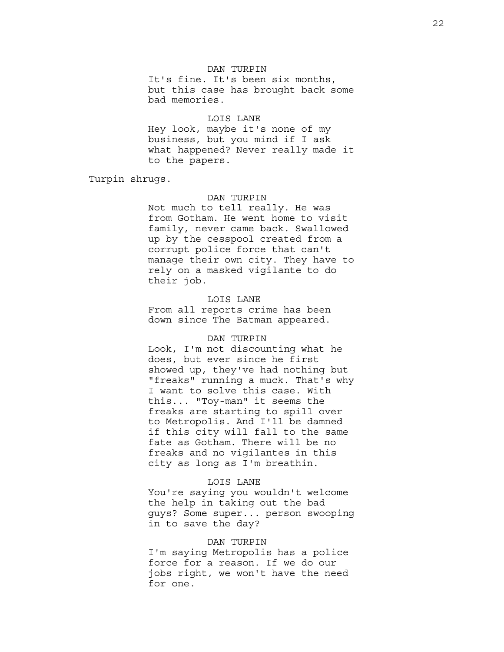### DAN TURPIN

It's fine. It's been six months, but this case has brought back some bad memories.

### LOIS LANE

Hey look, maybe it's none of my business, but you mind if I ask what happened? Never really made it to the papers.

Turpin shrugs.

#### DAN TURPIN

Not much to tell really. He was from Gotham. He went home to visit family, never came back. Swallowed up by the cesspool created from a corrupt police force that can't manage their own city. They have to rely on a masked vigilante to do their job.

# LOIS LANE

From all reports crime has been down since The Batman appeared.

#### DAN TURPIN

Look, I'm not discounting what he does, but ever since he first showed up, they've had nothing but "freaks" running a muck. That's why I want to solve this case. With this... "Toy-man" it seems the freaks are starting to spill over to Metropolis. And I'll be damned if this city will fall to the same fate as Gotham. There will be no freaks and no vigilantes in this city as long as I'm breathin.

### LOIS LANE

You're saying you wouldn't welcome the help in taking out the bad guys? Some super... person swooping in to save the day?

### DAN TURPIN

I'm saying Metropolis has a police force for a reason. If we do our jobs right, we won't have the need for one.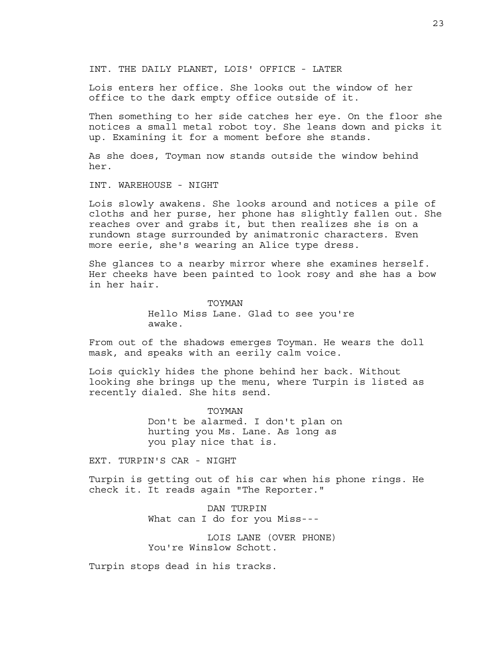INT. THE DAILY PLANET, LOIS' OFFICE - LATER

Lois enters her office. She looks out the window of her office to the dark empty office outside of it.

Then something to her side catches her eye. On the floor she notices a small metal robot toy. She leans down and picks it up. Examining it for a moment before she stands.

As she does, Toyman now stands outside the window behind her.

INT. WAREHOUSE - NIGHT

Lois slowly awakens. She looks around and notices a pile of cloths and her purse, her phone has slightly fallen out. She reaches over and grabs it, but then realizes she is on a rundown stage surrounded by animatronic characters. Even more eerie, she's wearing an Alice type dress.

She glances to a nearby mirror where she examines herself. Her cheeks have been painted to look rosy and she has a bow in her hair.

> TOYMAN Hello Miss Lane. Glad to see you're awake.

From out of the shadows emerges Toyman. He wears the doll mask, and speaks with an eerily calm voice.

Lois quickly hides the phone behind her back. Without looking she brings up the menu, where Turpin is listed as recently dialed. She hits send.

> TOYMAN Don't be alarmed. I don't plan on hurting you Ms. Lane. As long as you play nice that is.

EXT. TURPIN'S CAR - NIGHT

Turpin is getting out of his car when his phone rings. He check it. It reads again "The Reporter."

> DAN TURPIN What can I do for you Miss---

LOIS LANE (OVER PHONE) You're Winslow Schott.

Turpin stops dead in his tracks.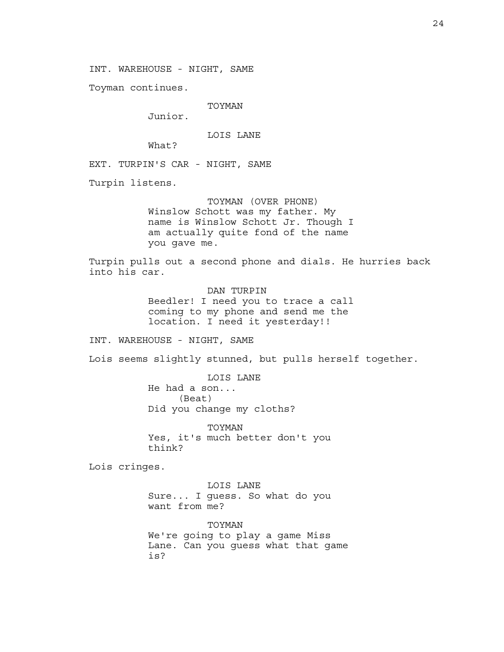INT. WAREHOUSE - NIGHT, SAME

Toyman continues.

TOYMAN

Junior.

LOIS LANE

What?

EXT. TURPIN'S CAR - NIGHT, SAME

Turpin listens.

TOYMAN (OVER PHONE) Winslow Schott was my father. My name is Winslow Schott Jr. Though I am actually quite fond of the name you gave me.

Turpin pulls out a second phone and dials. He hurries back into his car.

> DAN TURPIN Beedler! I need you to trace a call coming to my phone and send me the location. I need it yesterday!!

INT. WAREHOUSE - NIGHT, SAME

Lois seems slightly stunned, but pulls herself together.

LOIS LANE He had a son... (Beat) Did you change my cloths?

TOYMAN Yes, it's much better don't you think?

Lois cringes.

LOIS LANE Sure... I guess. So what do you want from me?

TOYMAN We're going to play a game Miss Lane. Can you guess what that game is?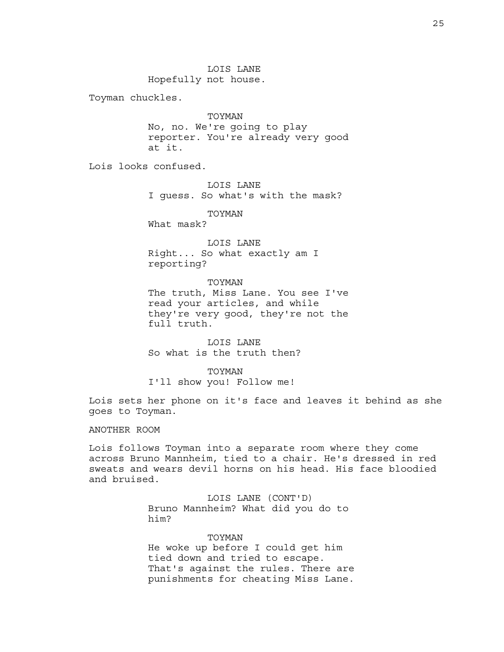LOIS LANE Hopefully not house.

Toyman chuckles.

TOYMAN No, no. We're going to play reporter. You're already very good at it.

Lois looks confused.

LOIS LANE

I guess. So what's with the mask?

TOYMAN

What mask?

LOIS LANE Right... So what exactly am I reporting?

TOYMAN

The truth, Miss Lane. You see I've read your articles, and while they're very good, they're not the full truth.

LOIS LANE So what is the truth then?

TOYMAN I'll show you! Follow me!

Lois sets her phone on it's face and leaves it behind as she goes to Toyman.

ANOTHER ROOM

Lois follows Toyman into a separate room where they come across Bruno Mannheim, tied to a chair. He's dressed in red sweats and wears devil horns on his head. His face bloodied and bruised.

> LOIS LANE (CONT'D) Bruno Mannheim? What did you do to him?

TOYMAN He woke up before I could get him tied down and tried to escape. That's against the rules. There are punishments for cheating Miss Lane.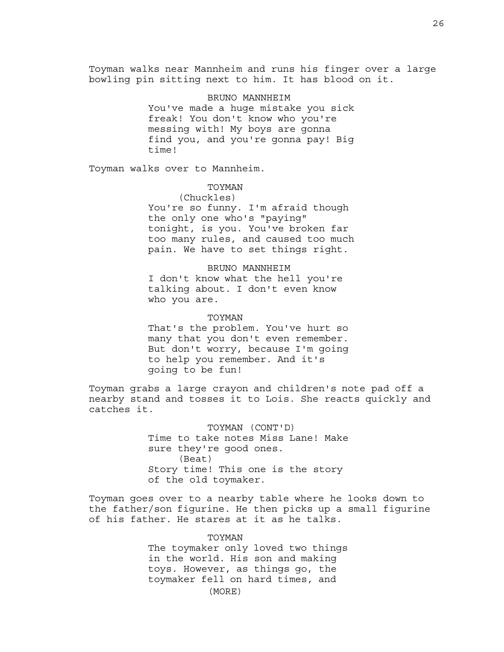Toyman walks near Mannheim and runs his finger over a large bowling pin sitting next to him. It has blood on it.

> BRUNO MANNHEIM You've made a huge mistake you sick freak! You don't know who you're messing with! My boys are gonna find you, and you're gonna pay! Big time!

Toyman walks over to Mannheim.

### TOYMAN

(Chuckles) You're so funny. I'm afraid though the only one who's "paying" tonight, is you. You've broken far too many rules, and caused too much pain. We have to set things right.

### BRUNO MANNHEIM

I don't know what the hell you're talking about. I don't even know who you are.

#### TOYMAN

That's the problem. You've hurt so many that you don't even remember. But don't worry, because I'm going to help you remember. And it's going to be fun!

Toyman grabs a large crayon and children's note pad off a nearby stand and tosses it to Lois. She reacts quickly and catches it.

> TOYMAN (CONT'D) Time to take notes Miss Lane! Make sure they're good ones. (Beat) Story time! This one is the story of the old toymaker.

Toyman goes over to a nearby table where he looks down to the father/son figurine. He then picks up a small figurine of his father. He stares at it as he talks.

> TOYMAN The toymaker only loved two things in the world. His son and making toys. However, as things go, the toymaker fell on hard times, and (MORE)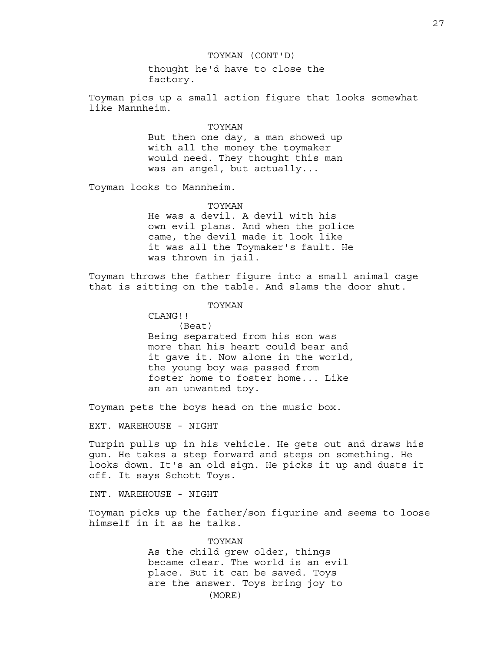thought he'd have to close the TOYMAN (CONT'D) factory.

Toyman pics up a small action figure that looks somewhat like Mannheim.

### TOYMAN

But then one day, a man showed up with all the money the toymaker would need. They thought this man was an angel, but actually...

Toyman looks to Mannheim.

#### TOYMAN

He was a devil. A devil with his own evil plans. And when the police came, the devil made it look like it was all the Toymaker's fault. He was thrown in jail.

Toyman throws the father figure into a small animal cage that is sitting on the table. And slams the door shut.

### TOYMAN

CLANG!! (Beat) Being separated from his son was more than his heart could bear and it gave it. Now alone in the world, the young boy was passed from foster home to foster home... Like an an unwanted toy.

Toyman pets the boys head on the music box.

EXT. WAREHOUSE - NIGHT

Turpin pulls up in his vehicle. He gets out and draws his gun. He takes a step forward and steps on something. He looks down. It's an old sign. He picks it up and dusts it off. It says Schott Toys.

INT. WAREHOUSE - NIGHT

Toyman picks up the father/son figurine and seems to loose himself in it as he talks.

> TOYMAN As the child grew older, things became clear. The world is an evil place. But it can be saved. Toys are the answer. Toys bring joy to (MORE)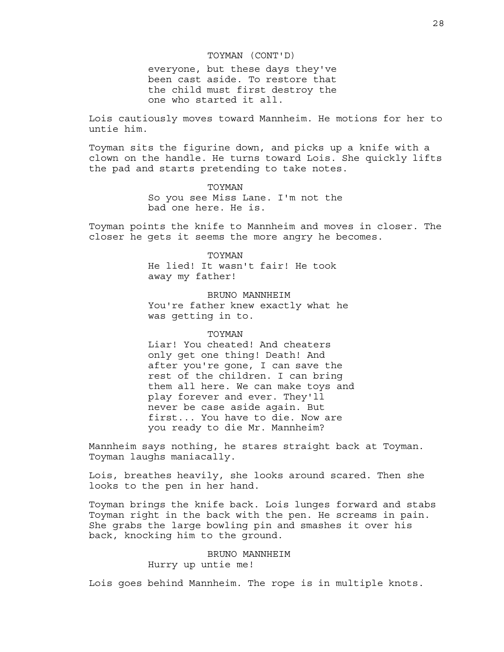#### TOYMAN (CONT'D)

everyone, but these days they've been cast aside. To restore that the child must first destroy the one who started it all.

Lois cautiously moves toward Mannheim. He motions for her to untie him.

Toyman sits the figurine down, and picks up a knife with a clown on the handle. He turns toward Lois. She quickly lifts the pad and starts pretending to take notes.

TOYMAN

So you see Miss Lane. I'm not the bad one here. He is.

Toyman points the knife to Mannheim and moves in closer. The closer he gets it seems the more angry he becomes.

> TOYMAN He lied! It wasn't fair! He took away my father!

BRUNO MANNHEIM You're father knew exactly what he was getting in to.

### TOYMAN

Liar! You cheated! And cheaters only get one thing! Death! And after you're gone, I can save the rest of the children. I can bring them all here. We can make toys and play forever and ever. They'll never be case aside again. But first... You have to die. Now are you ready to die Mr. Mannheim?

Mannheim says nothing, he stares straight back at Toyman. Toyman laughs maniacally.

Lois, breathes heavily, she looks around scared. Then she looks to the pen in her hand.

Toyman brings the knife back. Lois lunges forward and stabs Toyman right in the back with the pen. He screams in pain. She grabs the large bowling pin and smashes it over his back, knocking him to the ground.

> BRUNO MANNHEIM Hurry up untie me!

Lois goes behind Mannheim. The rope is in multiple knots.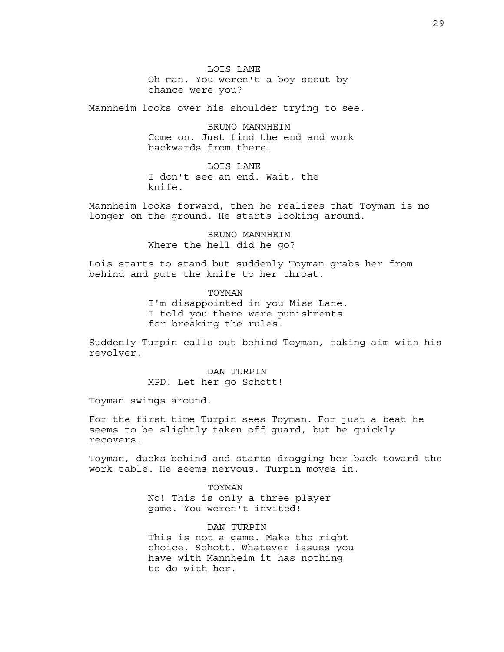LOIS LANE Oh man. You weren't a boy scout by chance were you?

Mannheim looks over his shoulder trying to see.

BRUNO MANNHEIM Come on. Just find the end and work backwards from there.

LOIS LANE I don't see an end. Wait, the knife.

Mannheim looks forward, then he realizes that Toyman is no longer on the ground. He starts looking around.

> BRUNO MANNHEIM Where the hell did he go?

Lois starts to stand but suddenly Toyman grabs her from behind and puts the knife to her throat.

> TOYMAN I'm disappointed in you Miss Lane. I told you there were punishments for breaking the rules.

Suddenly Turpin calls out behind Toyman, taking aim with his revolver.

> DAN TURPIN MPD! Let her go Schott!

Toyman swings around.

For the first time Turpin sees Toyman. For just a beat he seems to be slightly taken off guard, but he quickly recovers.

Toyman, ducks behind and starts dragging her back toward the work table. He seems nervous. Turpin moves in.

> TOYMAN No! This is only a three player game. You weren't invited!

DAN TURPIN This is not a game. Make the right choice, Schott. Whatever issues you have with Mannheim it has nothing to do with her.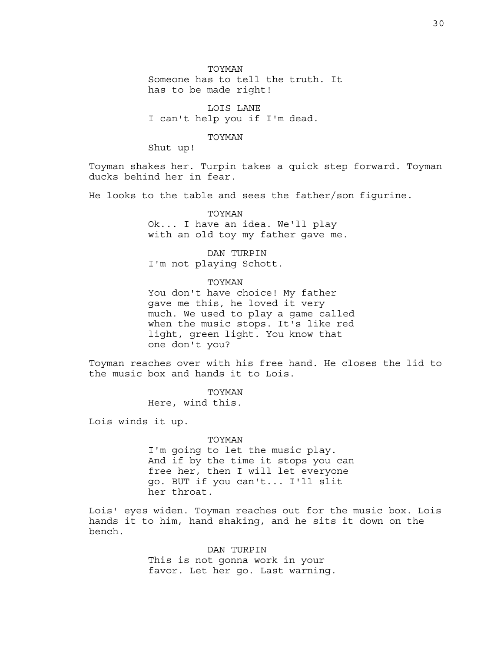TOYMAN

Someone has to tell the truth. It has to be made right!

LOIS LANE

I can't help you if I'm dead.

### TOYMAN

Shut up!

Toyman shakes her. Turpin takes a quick step forward. Toyman ducks behind her in fear.

He looks to the table and sees the father/son figurine.

TOYMAN

Ok... I have an idea. We'll play with an old toy my father gave me.

DAN TURPIN I'm not playing Schott.

TOYMAN

You don't have choice! My father gave me this, he loved it very much. We used to play a game called when the music stops. It's like red light, green light. You know that one don't you?

Toyman reaches over with his free hand. He closes the lid to the music box and hands it to Lois.

> TOYMAN Here, wind this.

Lois winds it up.

TOYMAN I'm going to let the music play. And if by the time it stops you can free her, then I will let everyone go. BUT if you can't... I'll slit her throat.

Lois' eyes widen. Toyman reaches out for the music box. Lois hands it to him, hand shaking, and he sits it down on the bench.

> DAN TURPIN This is not gonna work in your favor. Let her go. Last warning.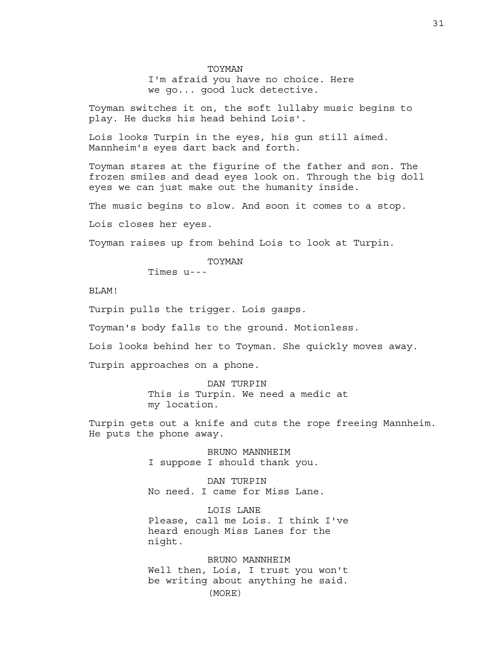#### TOYMAN

I'm afraid you have no choice. Here we go... good luck detective.

Toyman switches it on, the soft lullaby music begins to play. He ducks his head behind Lois'.

Lois looks Turpin in the eyes, his gun still aimed. Mannheim's eyes dart back and forth.

Toyman stares at the figurine of the father and son. The frozen smiles and dead eyes look on. Through the big doll eyes we can just make out the humanity inside.

The music begins to slow. And soon it comes to a stop.

Lois closes her eyes.

Toyman raises up from behind Lois to look at Turpin.

TOYMAN

Times u---

BLAM!

Turpin pulls the trigger. Lois gasps.

Toyman's body falls to the ground. Motionless.

Lois looks behind her to Toyman. She quickly moves away.

Turpin approaches on a phone.

DAN TURPIN This is Turpin. We need a medic at my location.

Turpin gets out a knife and cuts the rope freeing Mannheim. He puts the phone away.

> BRUNO MANNHEIM I suppose I should thank you.

DAN TURPIN No need. I came for Miss Lane.

LOIS LANE Please, call me Lois. I think I've heard enough Miss Lanes for the night.

BRUNO MANNHEIM Well then, Lois, I trust you won't be writing about anything he said. (MORE)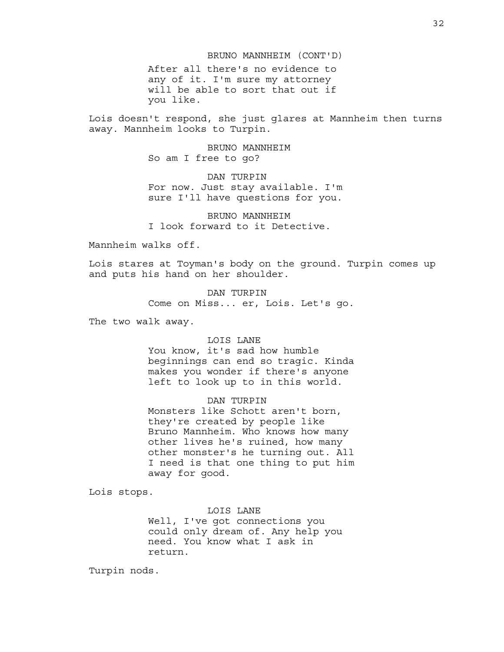After all there's no evidence to BRUNO MANNHEIM (CONT'D) any of it. I'm sure my attorney will be able to sort that out if you like.

Lois doesn't respond, she just glares at Mannheim then turns away. Mannheim looks to Turpin.

> BRUNO MANNHEIM So am I free to go?

DAN TURPIN For now. Just stay available. I'm sure I'll have questions for you.

BRUNO MANNHEIM I look forward to it Detective.

Mannheim walks off.

Lois stares at Toyman's body on the ground. Turpin comes up and puts his hand on her shoulder.

> DAN TURPIN Come on Miss... er, Lois. Let's go.

The two walk away.

#### LOIS LANE

You know, it's sad how humble beginnings can end so tragic. Kinda makes you wonder if there's anyone left to look up to in this world.

#### DAN TURPIN

Monsters like Schott aren't born, they're created by people like Bruno Mannheim. Who knows how many other lives he's ruined, how many other monster's he turning out. All I need is that one thing to put him away for good.

Lois stops.

LOIS LANE Well, I've got connections you could only dream of. Any help you need. You know what I ask in return.

Turpin nods.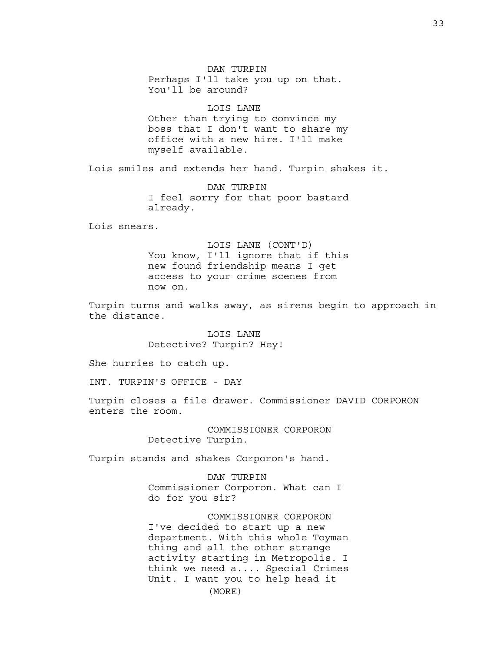DAN TURPIN Perhaps I'll take you up on that. You'll be around?

LOIS LANE

Other than trying to convince my boss that I don't want to share my office with a new hire. I'll make myself available.

Lois smiles and extends her hand. Turpin shakes it.

DAN TURPIN I feel sorry for that poor bastard already.

Lois snears.

LOIS LANE (CONT'D) You know, I'll ignore that if this new found friendship means I get access to your crime scenes from now on.

Turpin turns and walks away, as sirens begin to approach in the distance.

> LOIS LANE Detective? Turpin? Hey!

She hurries to catch up.

INT. TURPIN'S OFFICE - DAY

Turpin closes a file drawer. Commissioner DAVID CORPORON enters the room.

> COMMISSIONER CORPORON Detective Turpin.

Turpin stands and shakes Corporon's hand.

DAN TURPIN Commissioner Corporon. What can I do for you sir?

COMMISSIONER CORPORON I've decided to start up a new department. With this whole Toyman thing and all the other strange activity starting in Metropolis. I think we need a.... Special Crimes Unit. I want you to help head it (MORE)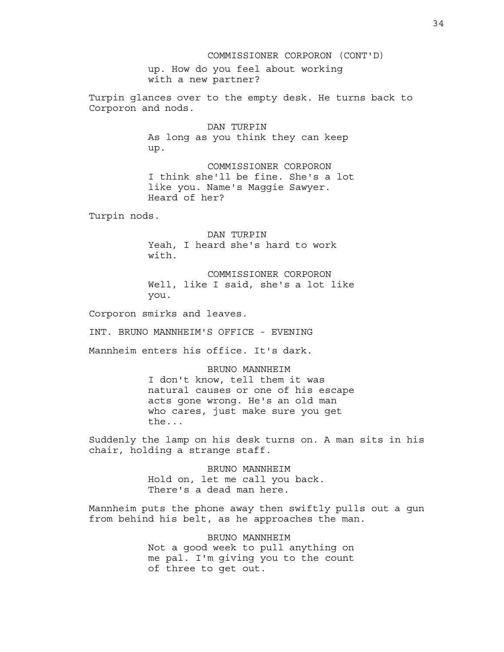up. How do you feel about working COMMISSIONER CORPORON (CONT'D) with a new partner? Turpin glances over to the empty desk. He turns back to Corporon and nods. DAN TURPIN As long as you think they can keep up. COMMISSIONER CORPORON I think she'll be fine. She's a lot like you. Name's Maggie Sawyer. Heard of her? Turpin nods. DAN TURPIN Yeah, I heard she's hard to work with. COMMISSIONER CORPORON Well, like I said, she's a lot like you. Corporon smirks and leaves. INT. BRUNO MANNHEIM'S OFFICE - EVENING Mannheim enters his office. It's dark. BRUNO MANNHEIM I don't know, tell them it was natural causes or one of his escape acts gone wrong. He's an old man who cares, just make sure you get the... Suddenly the lamp on his desk turns on. A man sits in his chair, holding a strange staff. BRUNO MANNHEIM Hold on, let me call you back. There's a dead man here. Mannheim puts the phone away then swiftly pulls out a gun from behind his belt, as he approaches the man. BRUNO MANNHEIM

Not a good week to pull anything on me pal. I'm giving you to the count of three to get out.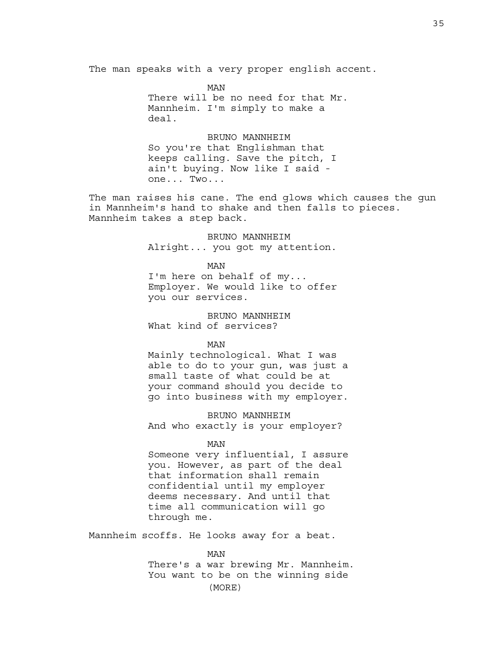The man speaks with a very proper english accent.

MAN There will be no need for that Mr. Mannheim. I'm simply to make a deal.

BRUNO MANNHEIM So you're that Englishman that keeps calling. Save the pitch, I ain't buying. Now like I said one... Two...

The man raises his cane. The end glows which causes the gun in Mannheim's hand to shake and then falls to pieces. Mannheim takes a step back.

> BRUNO MANNHEIM Alright... you got my attention.

> > MAN

I'm here on behalf of my... Employer. We would like to offer you our services.

BRUNO MANNHEIM What kind of services?

MAN

Mainly technological. What I was able to do to your gun, was just a small taste of what could be at your command should you decide to go into business with my employer.

BRUNO MANNHEIM And who exactly is your employer?

### MAN

Someone very influential, I assure you. However, as part of the deal that information shall remain confidential until my employer deems necessary. And until that time all communication will go through me.

Mannheim scoffs. He looks away for a beat.

MAN There's a war brewing Mr. Mannheim. You want to be on the winning side (MORE)